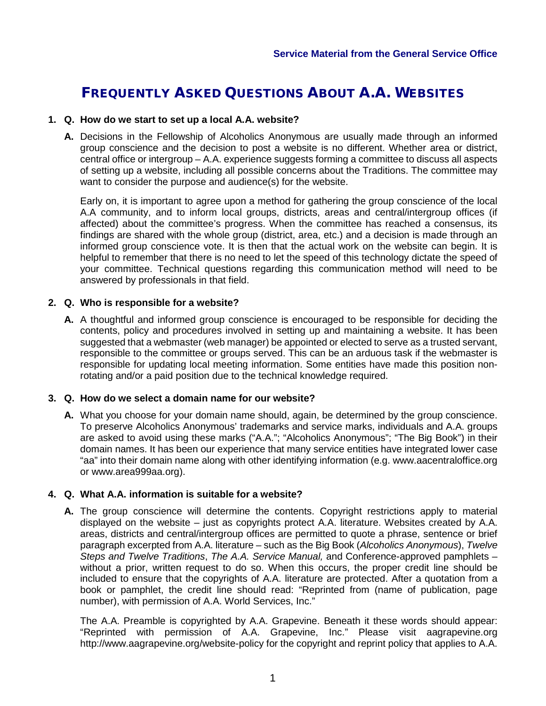# FREQUENTLY ASKED QUESTIONS ABOUT A.A. WEBSITES

#### **1. Q. How do we start to set up a local A.A. website?**

**A.** Decisions in the Fellowship of Alcoholics Anonymous are usually made through an informed group conscience and the decision to post a website is no different. Whether area or district, central office or intergroup – A.A. experience suggests forming a committee to discuss all aspects of setting up a website, including all possible concerns about the Traditions. The committee may want to consider the purpose and audience(s) for the website.

Early on, it is important to agree upon a method for gathering the group conscience of the local A.A community, and to inform local groups, districts, areas and central/intergroup offices (if affected) about the committee's progress. When the committee has reached a consensus, its findings are shared with the whole group (district, area, etc.) and a decision is made through an informed group conscience vote. It is then that the actual work on the website can begin. It is helpful to remember that there is no need to let the speed of this technology dictate the speed of your committee. Technical questions regarding this communication method will need to be answered by professionals in that field.

#### **2. Q. Who is responsible for a website?**

**A.** A thoughtful and informed group conscience is encouraged to be responsible for deciding the contents, policy and procedures involved in setting up and maintaining a website. It has been suggested that a webmaster (web manager) be appointed or elected to serve as a trusted servant, responsible to the committee or groups served. This can be an arduous task if the webmaster is responsible for updating local meeting information. Some entities have made this position nonrotating and/or a paid position due to the technical knowledge required.

#### **3. Q. How do we select a domain name for our website?**

**A.** What you choose for your domain name should, again, be determined by the group conscience. To preserve Alcoholics Anonymous' trademarks and service marks, individuals and A.A. groups are asked to avoid using these marks ("A.A."; "Alcoholics Anonymous"; "The Big Book") in their domain names. It has been our experience that many service entities have integrated lower case "aa" into their domain name along with other identifying information (e.g. www.aacentraloffice.org or www.area999aa.org).

# **4. Q. What A.A. information is suitable for a website?**

**A.** The group conscience will determine the contents. Copyright restrictions apply to material displayed on the website – just as copyrights protect A.A. literature. Websites created by A.A. areas, districts and central/intergroup offices are permitted to quote a phrase, sentence or brief paragraph excerpted from A.A. literature – such as the Big Book (*Alcoholics Anonymous*), *Twelve Steps and Twelve Traditions*, *The A.A. Service Manual,* and Conference-approved pamphlets – without a prior, written request to do so. When this occurs, the proper credit line should be included to ensure that the copyrights of A.A. literature are protected. After a quotation from a book or pamphlet, the credit line should read: "Reprinted from (name of publication, page number), with permission of A.A. World Services, Inc."

The A.A. Preamble is copyrighted by A.A. Grapevine. Beneath it these words should appear: "Reprinted with permission of A.A. Grapevine, Inc." Please visit aagrapevine.org http://www.aagrapevine.org/website-policy for the copyright and reprint policy that applies to A.A.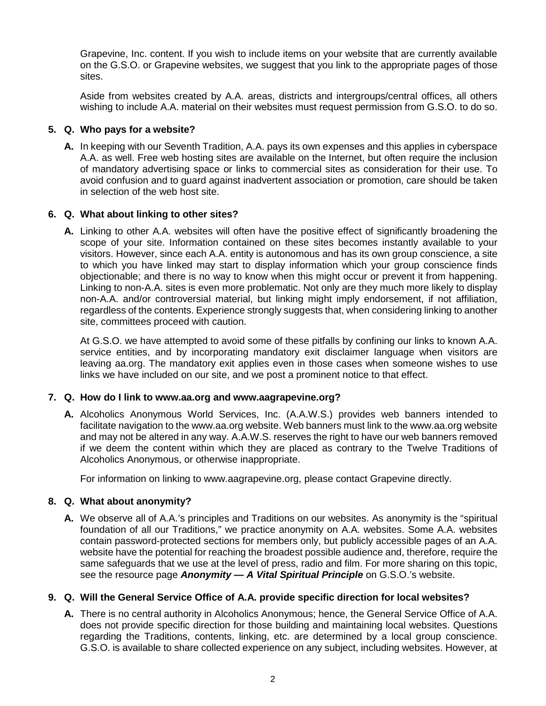Grapevine, Inc. content. If you wish to include items on your website that are currently available on the G.S.O. or Grapevine websites, we suggest that you link to the appropriate pages of those sites.

Aside from websites created by A.A. areas, districts and intergroups/central offices, all others wishing to include A.A. material on their websites must request permission from G.S.O. to do so.

# **5. Q. Who pays for a website?**

**A.** In keeping with our Seventh Tradition, A.A. pays its own expenses and this applies in cyberspace A.A. as well. Free web hosting sites are available on the Internet, but often require the inclusion of mandatory advertising space or links to commercial sites as consideration for their use. To avoid confusion and to guard against inadvertent association or promotion, care should be taken in selection of the web host site.

#### **6. Q. What about linking to other sites?**

**A.** Linking to other A.A. websites will often have the positive effect of significantly broadening the scope of your site. Information contained on these sites becomes instantly available to your visitors. However, since each A.A. entity is autonomous and has its own group conscience, a site to which you have linked may start to display information which your group conscience finds objectionable; and there is no way to know when this might occur or prevent it from happening. Linking to non-A.A. sites is even more problematic. Not only are they much more likely to display non-A.A. and/or controversial material, but linking might imply endorsement, if not affiliation, regardless of the contents. Experience strongly suggests that, when considering linking to another site, committees proceed with caution.

At G.S.O. we have attempted to avoid some of these pitfalls by confining our links to known A.A. service entities, and by incorporating mandatory exit disclaimer language when visitors are leaving aa.org. The mandatory exit applies even in those cases when someone wishes to use links we have included on our site, and we post a prominent notice to that effect.

#### **7. Q. How do I link to www.aa.org and www.aagrapevine.org?**

**A.** Alcoholics Anonymous World Services, Inc. (A.A.W.S.) provides web banners intended to facilitate navigation to the www.aa.org website. Web banners must link to the www.aa.org website and may not be altered in any way. A.A.W.S. reserves the right to have our web banners removed if we deem the content within which they are placed as contrary to the Twelve Traditions of Alcoholics Anonymous, or otherwise inappropriate.

For information on linking to www.aagrapevine.org, please contact Grapevine directly.

# **8. Q. What about anonymity?**

**A.** We observe all of A.A.'s principles and Traditions on our websites. As anonymity is the "spiritual foundation of all our Traditions," we practice anonymity on A.A. websites. Some A.A. websites contain password-protected sections for members only, but publicly accessible pages of an A.A. website have the potential for reaching the broadest possible audience and, therefore, require the same safeguards that we use at the level of press, radio and film. For more sharing on this topic, see the resource page *Anonymity — A Vital Spiritual Principle* on G.S.O.'s website.

# **9. Q. Will the General Service Office of A.A. provide specific direction for local websites?**

**A.** There is no central authority in Alcoholics Anonymous; hence, the General Service Office of A.A. does not provide specific direction for those building and maintaining local websites. Questions regarding the Traditions, contents, linking, etc. are determined by a local group conscience. G.S.O. is available to share collected experience on any subject, including websites. However, at